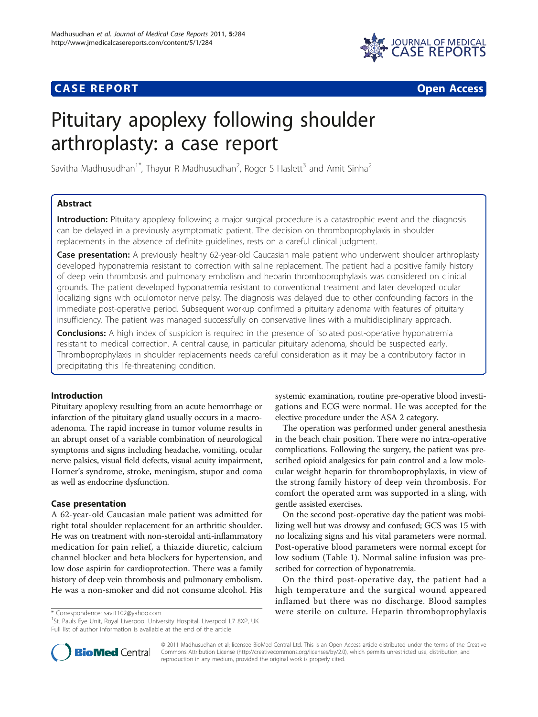# **CASE REPORT CASE REPORT CASE REPORT**



# Pituitary apoplexy following shoulder arthroplasty: a case report

Savitha Madhusudhan<sup>1\*</sup>, Thayur R Madhusudhan<sup>2</sup>, Roger S Haslett<sup>3</sup> and Amit Sinha<sup>2</sup>

# Abstract

Introduction: Pituitary apoplexy following a major surgical procedure is a catastrophic event and the diagnosis can be delayed in a previously asymptomatic patient. The decision on thromboprophylaxis in shoulder replacements in the absence of definite guidelines, rests on a careful clinical judgment.

Case presentation: A previously healthy 62-year-old Caucasian male patient who underwent shoulder arthroplasty developed hyponatremia resistant to correction with saline replacement. The patient had a positive family history of deep vein thrombosis and pulmonary embolism and heparin thromboprophylaxis was considered on clinical grounds. The patient developed hyponatremia resistant to conventional treatment and later developed ocular localizing signs with oculomotor nerve palsy. The diagnosis was delayed due to other confounding factors in the immediate post-operative period. Subsequent workup confirmed a pituitary adenoma with features of pituitary insufficiency. The patient was managed successfully on conservative lines with a multidisciplinary approach.

**Conclusions:** A high index of suspicion is required in the presence of isolated post-operative hyponatremia resistant to medical correction. A central cause, in particular pituitary adenoma, should be suspected early. Thromboprophylaxis in shoulder replacements needs careful consideration as it may be a contributory factor in precipitating this life-threatening condition.

# Introduction

Pituitary apoplexy resulting from an acute hemorrhage or infarction of the pituitary gland usually occurs in a macroadenoma. The rapid increase in tumor volume results in an abrupt onset of a variable combination of neurological symptoms and signs including headache, vomiting, ocular nerve palsies, visual field defects, visual acuity impairment, Horner's syndrome, stroke, meningism, stupor and coma as well as endocrine dysfunction.

#### Case presentation

A 62-year-old Caucasian male patient was admitted for right total shoulder replacement for an arthritic shoulder. He was on treatment with non-steroidal anti-inflammatory medication for pain relief, a thiazide diuretic, calcium channel blocker and beta blockers for hypertension, and low dose aspirin for cardioprotection. There was a family history of deep vein thrombosis and pulmonary embolism. He was a non-smoker and did not consume alcohol. His

<sup>1</sup>St. Pauls Eye Unit, Royal Liverpool University Hospital, Liverpool L7 8XP, UK Full list of author information is available at the end of the article

systemic examination, routine pre-operative blood investigations and ECG were normal. He was accepted for the elective procedure under the ASA 2 category.

The operation was performed under general anesthesia in the beach chair position. There were no intra-operative complications. Following the surgery, the patient was prescribed opioid analgesics for pain control and a low molecular weight heparin for thromboprophylaxis, in view of the strong family history of deep vein thrombosis. For comfort the operated arm was supported in a sling, with gentle assisted exercises.

On the second post-operative day the patient was mobilizing well but was drowsy and confused; GCS was 15 with no localizing signs and his vital parameters were normal. Post-operative blood parameters were normal except for low sodium (Table [1\)](#page-1-0). Normal saline infusion was prescribed for correction of hyponatremia.

On the third post-operative day, the patient had a high temperature and the surgical wound appeared inflamed but there was no discharge. Blood samples \* Correspondence: [savi1102@yahoo.com](mailto:savi1102@yahoo.com) were sterile on culture. Heparin thromboprophylaxis <sup>1</sup>



© 2011 Madhusudhan et al; licensee BioMed Central Ltd. This is an Open Access article distributed under the terms of the Creative Commons Attribution License [\(http://creativecommons.org/licenses/by/2.0](http://creativecommons.org/licenses/by/2.0)), which permits unrestricted use, distribution, and reproduction in any medium, provided the original work is properly cited.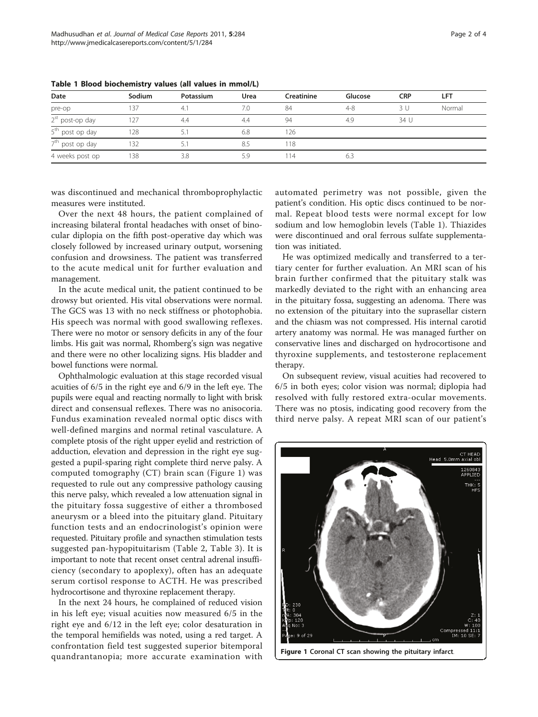| Date                        | Sodium | Potassium | Urea | Creatinine | Glucose | <b>CRP</b> | LFT    |
|-----------------------------|--------|-----------|------|------------|---------|------------|--------|
| pre-op                      | 137    | 4.1       | 7.0  | 84         | $4 - 8$ | 3 I J      | Normal |
| $2st$ post-op day           | 127    | 4.4       | 4.4  | 94         | 4.9     | 34 U       |        |
| 5 <sup>th</sup> post op day | 128    |           | 6.8  | 126        |         |            |        |
| 7 <sup>th</sup> post op day | 132    |           | 8.5  | 118        |         |            |        |
| 4 weeks post op             | 138    | 3.8       | 5.9  | 14         | 6.3     |            |        |

<span id="page-1-0"></span>Table 1 Blood biochemistry values (all values in mmol/L)

was discontinued and mechanical thromboprophylactic measures were instituted.

Over the next 48 hours, the patient complained of increasing bilateral frontal headaches with onset of binocular diplopia on the fifth post-operative day which was closely followed by increased urinary output, worsening confusion and drowsiness. The patient was transferred to the acute medical unit for further evaluation and management.

In the acute medical unit, the patient continued to be drowsy but oriented. His vital observations were normal. The GCS was 13 with no neck stiffness or photophobia. His speech was normal with good swallowing reflexes. There were no motor or sensory deficits in any of the four limbs. His gait was normal, Rhomberg's sign was negative and there were no other localizing signs. His bladder and bowel functions were normal.

Ophthalmologic evaluation at this stage recorded visual acuities of 6/5 in the right eye and 6/9 in the left eye. The pupils were equal and reacting normally to light with brisk direct and consensual reflexes. There was no anisocoria. Fundus examination revealed normal optic discs with well-defined margins and normal retinal vasculature. A complete ptosis of the right upper eyelid and restriction of adduction, elevation and depression in the right eye suggested a pupil-sparing right complete third nerve palsy. A computed tomography (CT) brain scan (Figure 1) was requested to rule out any compressive pathology causing this nerve palsy, which revealed a low attenuation signal in the pituitary fossa suggestive of either a thrombosed aneurysm or a bleed into the pituitary gland. Pituitary function tests and an endocrinologist's opinion were requested. Pituitary profile and synacthen stimulation tests suggested pan-hypopituitarism (Table [2](#page-2-0), Table [3](#page-2-0)). It is important to note that recent onset central adrenal insufficiency (secondary to apoplexy), often has an adequate serum cortisol response to ACTH. He was prescribed hydrocortisone and thyroxine replacement therapy.

In the next 24 hours, he complained of reduced vision in his left eye; visual acuities now measured 6/5 in the right eye and 6/12 in the left eye; color desaturation in the temporal hemifields was noted, using a red target. A confrontation field test suggested superior bitemporal quandrantanopia; more accurate examination with automated perimetry was not possible, given the patient's condition. His optic discs continued to be normal. Repeat blood tests were normal except for low sodium and low hemoglobin levels (Table 1). Thiazides were discontinued and oral ferrous sulfate supplementation was initiated.

He was optimized medically and transferred to a tertiary center for further evaluation. An MRI scan of his brain further confirmed that the pituitary stalk was markedly deviated to the right with an enhancing area in the pituitary fossa, suggesting an adenoma. There was no extension of the pituitary into the suprasellar cistern and the chiasm was not compressed. His internal carotid artery anatomy was normal. He was managed further on conservative lines and discharged on hydrocortisone and thyroxine supplements, and testosterone replacement therapy.

On subsequent review, visual acuities had recovered to 6/5 in both eyes; color vision was normal; diplopia had resolved with fully restored extra-ocular movements. There was no ptosis, indicating good recovery from the third nerve palsy. A repeat MRI scan of our patient's



Figure 1 Coronal CT scan showing the pituitary infarct.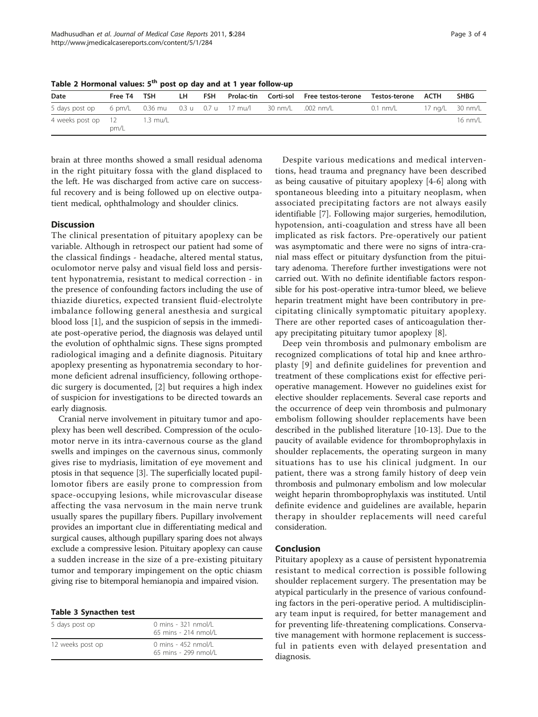<span id="page-2-0"></span>Table 2 Hormonal values: 5<sup>th</sup> post op day and at 1 year follow-up

| Date                                                                | Free T4 TSH |          | LH – | FSH |  | Prolac-tin Corti-sol Free-testos-terone Testos-terone ACTH |          | <b>SHBG</b> |
|---------------------------------------------------------------------|-------------|----------|------|-----|--|------------------------------------------------------------|----------|-------------|
| 5 days post op 6 pm/L 0.36 mu 0.3 u 0.7 u 17 mu/l 30 nm/L 0.02 nm/L |             |          |      |     |  |                                                            | 0.1 nm/L |             |
| 4 weeks post op 12                                                  | pm/L        | 1.3 mu/L |      |     |  |                                                            |          | 16 nm/l     |

brain at three months showed a small residual adenoma in the right pituitary fossa with the gland displaced to the left. He was discharged from active care on successful recovery and is being followed up on elective outpatient medical, ophthalmology and shoulder clinics.

## **Discussion**

The clinical presentation of pituitary apoplexy can be variable. Although in retrospect our patient had some of the classical findings - headache, altered mental status, oculomotor nerve palsy and visual field loss and persistent hyponatremia, resistant to medical correction - in the presence of confounding factors including the use of thiazide diuretics, expected transient fluid-electrolyte imbalance following general anesthesia and surgical blood loss [[1\]](#page-3-0), and the suspicion of sepsis in the immediate post-operative period, the diagnosis was delayed until the evolution of ophthalmic signs. These signs prompted radiological imaging and a definite diagnosis. Pituitary apoplexy presenting as hyponatremia secondary to hormone deficient adrenal insufficiency, following orthopedic surgery is documented, [[2\]](#page-3-0) but requires a high index of suspicion for investigations to be directed towards an early diagnosis.

Cranial nerve involvement in pituitary tumor and apoplexy has been well described. Compression of the oculomotor nerve in its intra-cavernous course as the gland swells and impinges on the cavernous sinus, commonly gives rise to mydriasis, limitation of eye movement and ptosis in that sequence [[3\]](#page-3-0). The superficially located pupillomotor fibers are easily prone to compression from space-occupying lesions, while microvascular disease affecting the vasa nervosum in the main nerve trunk usually spares the pupillary fibers. Pupillary involvement provides an important clue in differentiating medical and surgical causes, although pupillary sparing does not always exclude a compressive lesion. Pituitary apoplexy can cause a sudden increase in the size of a pre-existing pituitary tumor and temporary impingement on the optic chiasm giving rise to bitemporal hemianopia and impaired vision.

#### Table 3 Synacthen test

| 5 days post op   | 0 mins - 321 nmol/L<br>65 mins - 214 nmol/L     |
|------------------|-------------------------------------------------|
| 12 weeks post op | $0$ mins - 452 nmol/l<br>$65$ mins - 299 nmol/L |

Despite various medications and medical interventions, head trauma and pregnancy have been described as being causative of pituitary apoplexy [[4-6](#page-3-0)] along with spontaneous bleeding into a pituitary neoplasm, when associated precipitating factors are not always easily identifiable [\[7](#page-3-0)]. Following major surgeries, hemodilution, hypotension, anti-coagulation and stress have all been implicated as risk factors. Pre-operatively our patient was asymptomatic and there were no signs of intra-cranial mass effect or pituitary dysfunction from the pituitary adenoma. Therefore further investigations were not carried out. With no definite identifiable factors responsible for his post-operative intra-tumor bleed, we believe heparin treatment might have been contributory in precipitating clinically symptomatic pituitary apoplexy. There are other reported cases of anticoagulation therapy precipitating pituitary tumor apoplexy [[8\]](#page-3-0).

Deep vein thrombosis and pulmonary embolism are recognized complications of total hip and knee arthroplasty [[9\]](#page-3-0) and definite guidelines for prevention and treatment of these complications exist for effective perioperative management. However no guidelines exist for elective shoulder replacements. Several case reports and the occurrence of deep vein thrombosis and pulmonary embolism following shoulder replacements have been described in the published literature [[10-13](#page-3-0)]. Due to the paucity of available evidence for thromboprophylaxis in shoulder replacements, the operating surgeon in many situations has to use his clinical judgment. In our patient, there was a strong family history of deep vein thrombosis and pulmonary embolism and low molecular weight heparin thromboprophylaxis was instituted. Until definite evidence and guidelines are available, heparin therapy in shoulder replacements will need careful consideration.

#### Conclusion

Pituitary apoplexy as a cause of persistent hyponatremia resistant to medical correction is possible following shoulder replacement surgery. The presentation may be atypical particularly in the presence of various confounding factors in the peri-operative period. A multidisciplinary team input is required, for better management and for preventing life-threatening complications. Conservative management with hormone replacement is successful in patients even with delayed presentation and diagnosis.